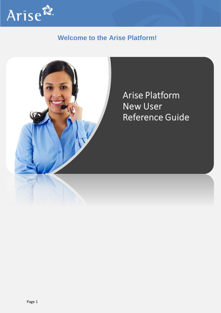

## **Welcome to the Arise Platform!**



**Arise Platform** New User Reference Guide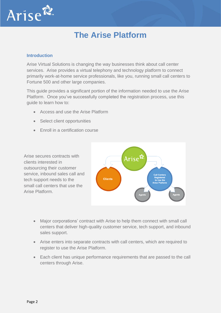

# **The Arise Platform**

## **Introduction**

Arise Virtual Solutions is changing the way businesses think about call center services. Arise provides a virtual telephony and technology platform to connect primarily work-at-home service professionals, like you, running small call centers to Fortune 500 and other large companies.

This guide provides a significant portion of the information needed to use the Arise Platform. Once you've successfully completed the registration process, use this guide to learn how to:

- Access and use the Arise Platform
- Select client opportunities
- Enroll in a certification course

Arise secures contracts with clients interested in outsourcing their customer service, inbound sales call and tech support needs to the small call centers that use the Arise Platform.



- Major corporations' contract with Arise to help them connect with small call centers that deliver high-quality customer service, tech support, and inbound sales support.
- Arise enters into separate contracts with call centers, which are required to register to use the Arise Platform.
- Each client has unique performance requirements that are passed to the call centers through Arise.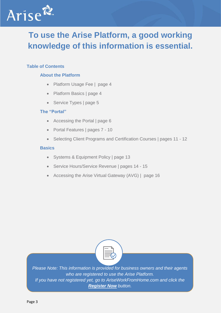

# **To use the Arise Platform, a good working knowledge of this information is essential.**

## **Table of Contents**

## **About the Platform**

- Platform Usage Fee | page 4
- Platform Basics | page 4
- Service Types | page 5

## **The "Portal"**

- Accessing the Portal | page 6
- Portal Features | pages 7 10
- Selecting Client Programs and Certification Courses | pages 11 12

## **Basics**

- Systems & Equipment Policy | page 13
- Service Hours/Service Revenue | pages 14 15
- Accessing the Arise Virtual Gateway (AVG) | page 16



*Please Note: This information is provided for business owners and their agents who are registered to use the Arise Platform. If you have not registered yet, go to AriseWorkFromHome.com and click the Register Now button.*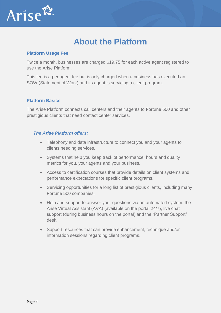

## **About the Platform**

## **Platform Usage Fee**

Twice a month, businesses are charged \$19.75 for each active agent registered to use the Arise Platform.

This fee is a per agent fee but is only charged when a business has executed an SOW (Statement of Work) and its agent is servicing a client program.

## **Platform Basics**

The Arise Platform connects call centers and their agents to Fortune 500 and other prestigious clients that need contact center services.

## *The Arise Platform offers:*

- Telephony and data infrastructure to connect you and your agents to clients needing services.
- Systems that help you keep track of performance, hours and quality metrics for you, your agents and your business.
- Access to certification courses that provide details on client systems and performance expectations for specific client programs.
- Servicing opportunities for a long list of prestigious clients, including many Fortune 500 companies.
- Help and support to answer your questions via an automated system, the Arise Virtual Assistant (AVA) (available on the portal 24/7), live chat support (during business hours on the portal) and the "Partner Support" desk.
- Support resources that can provide enhancement, technique and/or information sessions regarding client programs.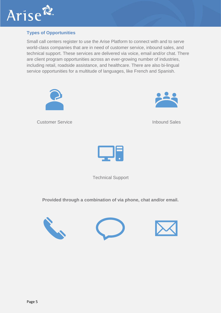

## **Types of Opportunities**

Small call centers register to use the Arise Platform to connect with and to serve world-class companies that are in need of customer service, inbound sales, and technical support. These services are delivered via voice, email and/or chat. There are client program opportunities across an ever-growing number of industries, including retail, roadside assistance, and healthcare. There are also bi-lingual service opportunities for a multitude of languages, like French and Spanish.



**Customer Service Customer Service Customer Service Inbound Sales** 



Technical Support

**Provided through a combination of via phone, chat and/or email.**





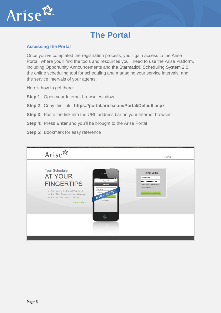

# **The Portal**

## **Accessing the Portal**

Once you've completed the registration process, you'll gain access to the Arise Portal, where you'll find the tools and resources you'll need to use the Arise Platform, including Opportunity Announcements and the Starmatic® Scheduling System 2.0, the online scheduling tool for scheduling and managing your service intervals, and the service intervals of your agents.

Here's how to get there:

- **Step 1**: Open your Internet browser window.
- **Step 2**: Copy this link: **https://portal.arise.com/Portal/Default.aspx**
- **Step 3:** Paste the link into the URL address bar on your Internet browser
- **Step 4**: Press **Enter** and you'll be brought to the Arise Portal
- **Step 5: Bookmark for easy reference**

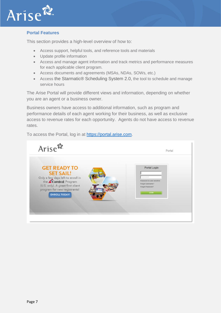

## **Portal Features**

This section provides a high-level overview of how to:

- Access support, helpful tools, and reference tools and materials
- Update profile information
- Access and manage agent information and track metrics and performance measures for each applicable client program.
- Access documents and agreements (MSAs, NDAs, SOWs, etc.)
- Access the Starmatic® Scheduling System 2.0, the tool to schedule and manage service hours

The Arise Portal will provide different views and information, depending on whether you are an agent or a business owner.

Business owners have access to additional information, such as program and performance details of each agent working for their business, as well as exclusive access to revenue rates for each opportunity. Agents do not have access to revenue rates.

To access the Portal, log in at [https://portal.arise.com.](https://portal.arise.com/)

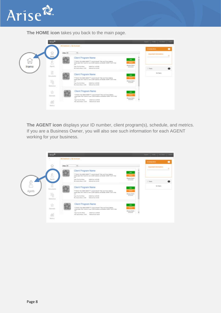

**The HOME icon** takes you back to the main page.

| <b>BO Daskinson J. Said Sciencest</b>                                                                                                                                                                                                                                                                            | <b>START OF STRAIN CO</b><br>$\bullet$<br><b>STANDARD ROOMS -</b>                                                                                                                |
|------------------------------------------------------------------------------------------------------------------------------------------------------------------------------------------------------------------------------------------------------------------------------------------------------------------|----------------------------------------------------------------------------------------------------------------------------------------------------------------------------------|
| v)<br>Villar M.<br>Client Program Name<br>m<br>annually video select Have a low to leave! Then you'll love helping                                                                                                                                                                                               | Important Internation                                                                                                                                                            |
| $^{16}$<br><b>Classes Mark:</b><br><b>Team Coat first Nation</b><br>Sultiest Ecoli: & ( ER 30)<br>MAGNIE<br>Harbourn Lister, \$15,000<br>We, Service Museo, 19,400                                                                                                                                               | 11 Taska<br><b>Not Tagress</b>                                                                                                                                                   |
| mela<br>FFFWDDV YOU WERE HERE?FFF Love to thought their you'll love heleng.<br>others plan thair travel to over 2,000 locations electricitie: HUSET: Stort map<br>Cleases Horty<br>mak.<br>ADDIEUR<br><b>Toyot Coast Board Davies</b><br>Solid Col. 6124.00<br>Mrs. Service Moura (21.01)<br>Service Last, 44.95 |                                                                                                                                                                                  |
| Client Program Name<br><b>Before</b><br>Philadelphia VOLL 96500 HAT&2777 Lakes to Answer? Then you'll love helping<br>others plan their travel to over \$,038 faculture earthlying HUMP Start map<br>make.<br>Cheese Hark<br>ANZELE<br>Taiw, Cole Scottleter.<br><b>Salisar Grah, \$1,570,000</b>                | Ľ                                                                                                                                                                                |
| $\widehat{\mathbb{R}}$<br>Apirili<br>$\frac{m}{2}$<br>ŵ<br>勐                                                                                                                                                                                                                                                     | Arise <sup>®</sup><br>stheirs play than Interest to over \$,000 topology unchilosite! HUSET! Such mus-<br>Client Program Name<br>Documents<br><b>Tehnings</b><br><b>Stainers</b> |

**The AGENT icon** displays your ID number, client program(s), schedule, and metrics. If you are a Business Owner, you will also see such information for each AGENT working for your business.

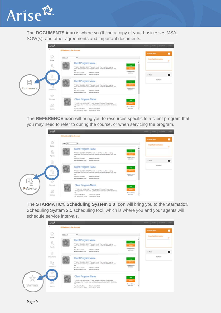

**The DOCUMENTS icon** is where you'll find a copy of your businesses MSA, SOW(s), and other agreements and important documents.

|                                                                         | Arise <sup>6</sup>            |                                                                                                                                                                                                                                                                                                   |                                                                | Signed Pulle RCOver Lapst        |           |
|-------------------------------------------------------------------------|-------------------------------|---------------------------------------------------------------------------------------------------------------------------------------------------------------------------------------------------------------------------------------------------------------------------------------------------|----------------------------------------------------------------|----------------------------------|-----------|
|                                                                         | Q                             | 800 Dashboard 1 Nar Scorecard<br>V)                                                                                                                                                                                                                                                               |                                                                | <b>Brooking News</b>             | $\bullet$ |
| Home<br>g<br>0<br>Documents<br>F<br>10<br><b>Documents</b><br>Reference | Filter At<br>Q                | Client Program Name<br>AFFECTIVE FOUR RESERVES Love to travel? Then you'll love helping<br>others plan their travel to over 2,008 booklons sor-Madel HUEEY Don't miss.<br>$-1$<br><b>Tool Con Breffeler</b><br>ballied Guilt, \$129.88<br>Mo. Service Moarn, CO-RD<br>Switzmart Court, 81.89      | bh.<br><b>Select</b><br>Chessea Sturk<br>S/25/2018             | Important Information<br>C Taska | ۰         |
|                                                                         |                               | Client Program Name<br>ennation YOU letter reflight for an all financial SKBs UCI violation<br>others plan their travel to over 2,000 boothers enridwidel HURRYI Don't miss<br>mod.<br>belief fast, p.154-86<br><b>Report Four Rock Factor</b><br>Wa. Service Mount 13.00<br>Beheral Carls \$5.00 | <b>Index</b><br><b>Select</b><br>Classes Starts<br>SOONS       | No Taora                         |           |
|                                                                         | ☆<br>Stamatic<br>楍<br>Matrics | Client Program Name<br>armight hour ment though of audit the problems and an allowing<br>others plan their travel to over 2,000 locations worldwidel HUKEYI Don't miss.<br>and.<br>Tope: Cost Buchfaloe<br>ballad Guin, 6129-88<br>Beheral Cody M188<br>No. beste Note: 15.80                     | <b>Selv</b><br><b>Select</b><br>Cleases Stark:<br>۲<br>SOUTHUR |                                  |           |

**The REFERENCE icon** will bring you to resources specific to a client program that you may need to refer to during the course, or when servicing the program.

| Arise <sup>6</sup>                              |                                                                                                                                                                                                                                                                                                                                                                         | asset Prote PCOver Laged            |
|-------------------------------------------------|-------------------------------------------------------------------------------------------------------------------------------------------------------------------------------------------------------------------------------------------------------------------------------------------------------------------------------------------------------------------------|-------------------------------------|
|                                                 | 800 Dashboard   Star Scorecard                                                                                                                                                                                                                                                                                                                                          | $\bullet$<br><b>Brasilian Moore</b> |
| ⋒<br>Home                                       | V)<br>Filter At<br><b>Client Program Name</b>                                                                                                                                                                                                                                                                                                                           | important information<br>٠          |
| g<br>Agents<br>$\Box$                           | Q.<br><b>Info</b><br>AFFWEEN YOU SEEK HERE <sup>VEH</sup> Love to travel? Then you'll love helping<br><b>Select</b><br>others plan their travel to your 2,000 bookiers sor-Maider HUEFT Don't miss.<br>$^{4+}$<br>Chessea Sturk:<br><b>Tape: Cost Bus Tales</b><br><b>Baltial Exet: 8125.00</b><br>S/25/2418<br>Mo. Service Moarn, US-80<br>Switzmart Court, 81,033     | C Taska<br>$\bullet$                |
| 5<br>Islamica<br>⊝                              | Client Program Name<br><b>Info</b><br><b>Select</b><br>ennator YOU lette reliable to a sub-transfer state voltage and related<br>others plan their travel to over 2,000 boothors worldwidel HURRYI Don't miss<br>Classes Hart:<br>mak-<br>SOORIA<br><b>Rape Cost Box Roles</b><br>belief fast, \$125.00<br>Was Service Mounts 17-20<br>Belleved Costs \$5.00            | No Tacro                            |
| ŵ<br>ī<br>Stamatic<br>Reference<br>勐<br>Motrics | Client Program Name<br><b>Selv</b><br>armight will fruit The raft Theory of audit That you to hope you will be a<br><b>Select</b><br>others plan their travel to over 2,000 locations worldwidel HURRY Don't miss.<br>sist.<br><b>Classes Stark:</b><br>۲<br>SAVINA<br>Tope: Cost Buchalor<br>Salikal Gush, \$129.88<br>Ballacraf Costs M1-88<br>No. Senior Noans 15.00 |                                     |

**The STARMATIC® Scheduling System 2.0 icon** will bring you to the Starmatic® Scheduling System 2.0 scheduling tool, which is where you and your agents will schedule service intervals.

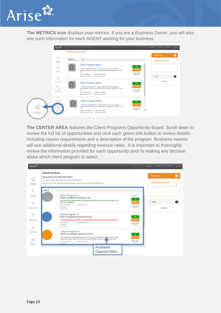

**The METRICS icon** displays your metrics. If you are a Business Owner, you will also see such information for each AGENT working for your business.



**The CENTER AREA** features the Client Programs Opportunity Board. Scroll down to review the full list of opportunities and click each green info button to review detailsincluding course requirements and a description of the program. Business owners will see additional details regarding revenue rates. It is important to thoroughly review the information provided for each opportunity prior to making any decision about which client program to select.

| Arise <sup>42</sup>                |                                                                                                                                                                                                                                                                                                                                                                                                                                   | Support Profile PC Check Logod                        |
|------------------------------------|-----------------------------------------------------------------------------------------------------------------------------------------------------------------------------------------------------------------------------------------------------------------------------------------------------------------------------------------------------------------------------------------------------------------------------------|-------------------------------------------------------|
| $\sim$<br>1nl<br>Home              | <b>Opportunity Board</b><br>Sign up today for an exciting Client Program!<br>Blap 1: Click on the great "left" batter to learn more about the Client Program<br>Blag 2: Dick on the "Select" before once you have decided and are ready to select your class time and begin the process                                                                                                                                           | 0<br><b>Breaking News</b><br>portant information<br>۰ |
| 8<br>Agents<br>$\Box$<br>Documents | <b>Filter Al</b><br>$\sim$<br>Client Program 1<br>49 Listan<br>Client 1 Customer Service 4.1.18<br><b>Tells</b><br>New Learner benezing DK3RTIVI on the Comcast Program! phone check with your call center to see<br>If they are participating<br>Salest<br>has further/blast<br>Essence East: MH-20<br>(Sausa Start)<br><b>Mo. Service</b><br><b>NTA/2019</b><br>School 15.00                                                    | <b>C Tasks</b><br>No Tasks                            |
| Reference<br>☆                     | Client Program 2<br>Client 1 Customer Service 4.10.18<br><b>Info</b><br>The Airfield apportunity is one of the most exciting offered by Arise, supporting their bests and guests.<br>Salest<br>New Currica<br>Essays East, MR-20<br>Genera Work<br><b>Ma. Service</b><br><b>MILODER</b><br>Internal (5.50)                                                                                                                        |                                                       |
| Stamatic<br>絙<br>Metrics           | Client Program 4<br>Client 1 Customer Service 4 15.18<br><b>Sale</b><br>What could be more fun than helping-customers of "the World's Most Popular Cruicegocotion@" book that<br><b>Salest</b><br>exciting cruise! Happy customers, and a fun environment make this the perfect ship. The cruise lovers!<br><b>Classes Black</b><br>Type Cult Ive/bries<br>Course Each 528-22<br><b>NIVODIA</b><br><b>Rio Senior</b><br>Available |                                                       |
|                                    | Opportunities                                                                                                                                                                                                                                                                                                                                                                                                                     |                                                       |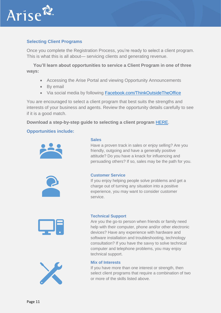

## **Selecting Client Programs**

Once you complete the Registration Process, you're ready to select a client program. This is what this is all about— servicing clients and generating revenue.

**You'll learn about opportunities to service a Client Program in one of three ways:** 

- Accessing the Arise Portal and viewing Opportunity Announcements
- By email
- Via social media by following **Facebook.com/ThinkOutsideTheOffice**

You are encouraged to select a client program that best suits the strengths and interests of your business and agents. Review the opportunity details carefully to see if it is a good match.

**Download a step-by-step guide to selecting a client program** [HERE.](http://www.ariseworkfromhome.com/enroll-client-program/)

## **Opportunities include:**



#### **Sales**

Have a proven track in sales or enjoy selling? Are you friendly, outgoing and have a generally positive attitude? Do you have a knack for influencing and persuading others? If so, sales may be the path for you.



#### **Customer Service**

If you enjoy helping people solve problems and get a charge out of turning any situation into a positive experience, you may want to consider customer service.



#### **Technical Support**

Are you the go-to person when friends or family need help with their computer, phone and/or other electronic devices? Have any experience with hardware and software installation and troubleshooting, technology consultation? If you have the savvy to solve technical computer and telephone problems, you may enjoy technical support.



#### **Mix of Interests**

If you have more than one interest or strength, then select client programs that require a combination of two or more of the skills listed above.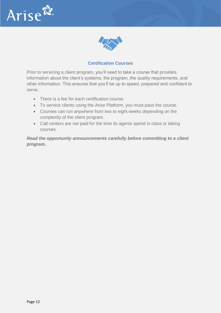



## **Certification Courses**

Prior to servicing a client program, you'll need to take a course that provides information about the client's systems, the program, the quality requirements, and other information. This ensures that you'll be up to speed, prepared and confident to serve.

- There is a fee for each certification course.
- To service clients using the Arise Platform, you must pass the course.
- Courses can run anywhere from two to eight weeks depending on the complexity of the client program.
- Call centers are not paid for the time its agents spend in class or taking courses.

*Read the opportunity announcements carefully before committing to a client program.*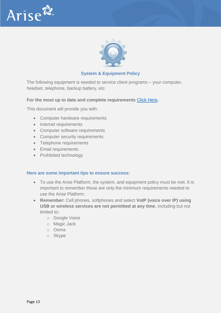



## **System & Equipment Policy**

The following equipment is needed to service client programs – your computer, headset, telephone, backup battery, etc.

#### **For the most up to date and complete requirements** [Click Here](http://www.ariseworkfromhome.com/equipment/)**.**

This document will provide you with:

- Computer hardware requirements
- Internet requirements
- Computer software requirements
- Computer security requirements
- Telephone requirements
- Email requirements
- Prohibited technology

#### **Here are some important tips to ensure success:**

- To use the Arise Platform, the system, and equipment policy must be met. It is important to remember these are only the minimum requirements needed to use the Arise Platform.
- **Remember:** Cell phones, softphones and select **VoIP (voice over IP) using USB or wireless services are not permitted at any time**, including but not limited to:
	- o Google Voice
	- o Magic Jack
	- o Ooma
	- o Skype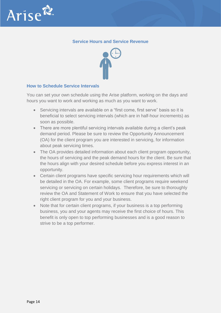

## **Service Hours and Service Revenue**



## **How to Schedule Service Intervals**

You can set your own schedule using the Arise platform, working on the days and hours you want to work and working as much as you want to work.

- Servicing intervals are available on a "first come, first serve" basis so it is beneficial to select servicing intervals (which are in half-hour increments) as soon as possible.
- There are more plentiful servicing intervals available during a client's peak demand period. Please be sure to review the Opportunity Announcement (OA) for the client program you are interested in servicing, for information about peak servicing times.
- The OA provides detailed information about each client program opportunity, the hours of servicing and the peak demand hours for the client. Be sure that the hours align with your desired schedule before you express interest in an opportunity.
- Certain client programs have specific servicing hour requirements which will be detailed in the OA. For example, some client programs require weekend servicing or servicing on certain holidays. Therefore, be sure to thoroughly review the OA and Statement of Work to ensure that you have selected the right client program for you and your business.
- Note that for certain client programs, if your business is a top performing business, you and your agents may receive the first choice of hours. This benefit is only open to top performing businesses and is a good reason to strive to be a top performer.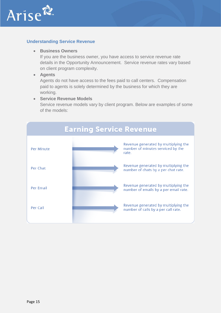

## **Understanding Service Revenue**

#### • **Business Owners**

If you are the business owner, you have access to service revenue rate details in the Opportunity Announcement. Service revenue rates vary based on client program complexity.

#### • **Agents**

Agents do not have access to the fees paid to call centers. Compensation paid to agents is solely determined by the business for which they are working.

#### • **Service Revenue Models**

Service revenue models vary by client program. Below are examples of some of the models:

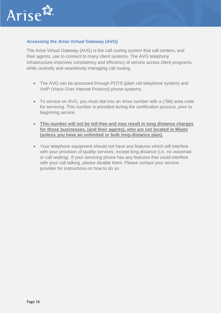

## **Accessing the Arise Virtual Gateway (AVG)**

The Arise Virtual Gateway (AVG) is the call routing system that call centers, and their agents, use to connect to many client systems. The AVG telephony infrastructure improves consistency and efficiency of service across client programs, while centrally and seamlessly managing call routing.

- The AVG can be accessed through POTS (plain old telephone system) and VoIP (Voice Over Internet Protocol) phone systems.
- To service on AVG, you must dial into an Arise number with a (786) area code for servicing. This number is provided during the certification process, prior to beginning service.
- **This number will not be toll-free and may result in long distance charges for those businesses, (and their agents), who are not located in Miami (unless you have an unlimited or bulk long-distance plan).**
- Your telephone equipment should not have any features which will interfere with your provision of quality services, except long distance (i.e. no voicemail or call waiting). If your servicing phone has any features that could interfere with your call talking, please disable them. Please contact your service provider for instructions on how to do so.